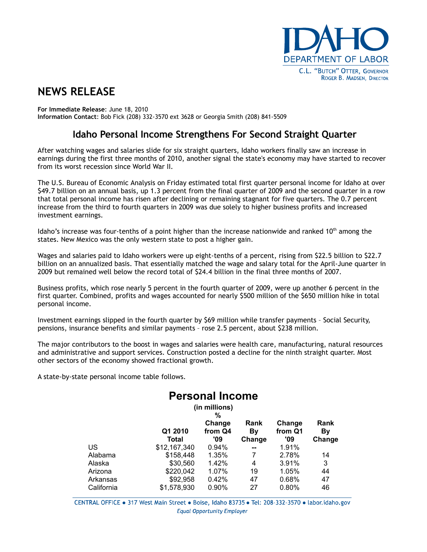

## **NEWS RELEASE**

**For Immediate Release**: June 18, 2010 **Information Contact**: Bob Fick (208) 332-3570 ext 3628 or Georgia Smith (208) 841-5509

## **Idaho Personal Income Strengthens For Second Straight Quarter**

After watching wages and salaries slide for six straight quarters, Idaho workers finally saw an increase in earnings during the first three months of 2010, another signal the state's economy may have started to recover from its worst recession since World War II.

The U.S. Bureau of Economic Analysis on Friday estimated total first quarter personal income for Idaho at over \$49.7 billion on an annual basis, up 1.3 percent from the final quarter of 2009 and the second quarter in a row that total personal income has risen after declining or remaining stagnant for five quarters. The 0.7 percent increase from the third to fourth quarters in 2009 was due solely to higher business profits and increased investment earnings.

Idaho's increase was four-tenths of a point higher than the increase nationwide and ranked 10<sup>th</sup> among the states. New Mexico was the only western state to post a higher gain.

Wages and salaries paid to Idaho workers were up eight-tenths of a percent, rising from \$22.5 billion to \$22.7 billion on an annualized basis. That essentially matched the wage and salary total for the April-June quarter in 2009 but remained well below the record total of \$24.4 billion in the final three months of 2007.

Business profits, which rose nearly 5 percent in the fourth quarter of 2009, were up another 6 percent in the first quarter. Combined, profits and wages accounted for nearly \$500 million of the \$650 million hike in total personal income.

Investment earnings slipped in the fourth quarter by \$69 million while transfer payments – Social Security, pensions, insurance benefits and similar payments – rose 2.5 percent, about \$238 million.

The major contributors to the boost in wages and salaries were health care, manufacturing, natural resources and administrative and support services. Construction posted a decline for the ninth straight quarter. Most other sectors of the economy showed fractional growth.

A state-by-state personal income table follows.

## **Personal Income**

| (in millions) |              |         |        |         |        |  |  |  |  |
|---------------|--------------|---------|--------|---------|--------|--|--|--|--|
|               |              | %       |        |         |        |  |  |  |  |
|               |              | Change  | Rank   | Change  | Rank   |  |  |  |  |
|               | Q1 2010      | from Q4 | Βv     | from Q1 | Βv     |  |  |  |  |
|               | Total        | '09     | Change | '09     | Change |  |  |  |  |
| US            | \$12,167,340 | 0.94%   | --     | 1.91%   |        |  |  |  |  |
| Alabama       | \$158,448    | 1.35%   | 7      | 2.78%   | 14     |  |  |  |  |
| Alaska        | \$30,560     | 1.42%   | 4      | 3.91%   | 3      |  |  |  |  |
| Arizona       | \$220,042    | 1.07%   | 19     | 1.05%   | 44     |  |  |  |  |
| Arkansas      | \$92,958     | 0.42%   | 47     | 0.68%   | 47     |  |  |  |  |
| California    | \$1,578,930  | 0.90%   | 27     | 0.80%   | 46     |  |  |  |  |

CENTRAL OFFICE . 317 West Main Street . Boise, Idaho 83735 . Tel: 208-332-3570 . labor.idaho.gov **Equal Opportunity Employer**